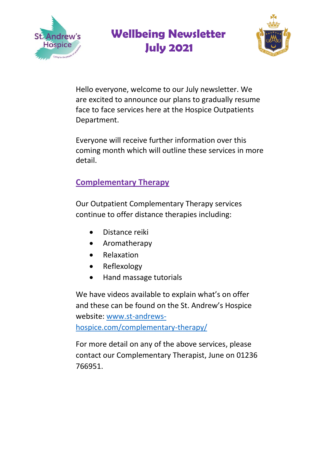



Hello everyone, welcome to our July newsletter. We are excited to announce our plans to gradually resume face to face services here at the Hospice Outpatients Department.

Everyone will receive further information over this coming month which will outline these services in more detail.

### **Complementary Therapy**

Our Outpatient Complementary Therapy services continue to offer distance therapies including:

- Distance reiki
- Aromatherapy
- **•** Relaxation
- Reflexology
- Hand massage tutorials

We have videos available to explain what's on offer and these can be found on the St. Andrew's Hospice website: [www.st-andrews](http://www.st-andrews-hospice.com/complementary-therapy/)[hospice.com/complementary-therapy/](http://www.st-andrews-hospice.com/complementary-therapy/)

For more detail on any of the above services, please contact our Complementary Therapist, June on 01236 766951.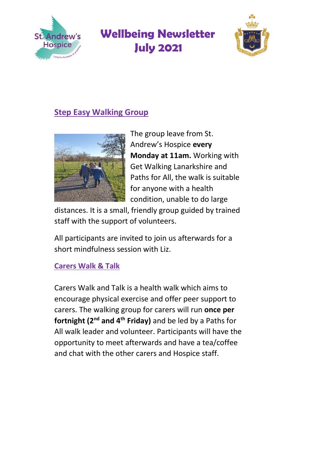



### **Step Easy Walking Group**



The group leave from St. Andrew's Hospice **every Monday at 11am.** Working with Get Walking Lanarkshire and Paths for All, the walk is suitable for anyone with a health condition, unable to do large

distances. It is a small, friendly group guided by trained staff with the support of volunteers.

All participants are invited to join us afterwards for a short mindfulness session with Liz.

#### **Carers Walk & Talk**

Carers Walk and Talk is a health walk which aims to encourage physical exercise and offer peer support to carers. The walking group for carers will run **once per fortnight (2nd and 4th Friday)** and be led by a Paths for All walk leader and volunteer. Participants will have the opportunity to meet afterwards and have a tea/coffee and chat with the other carers and Hospice staff.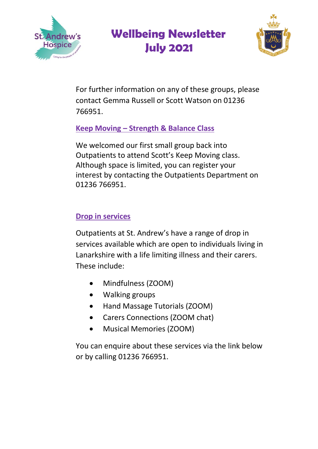



For further information on any of these groups, please contact Gemma Russell or Scott Watson on 01236 766951.

### **Keep Moving – Strength & Balance Class**

We welcomed our first small group back into Outpatients to attend Scott's Keep Moving class. Although space is limited, you can register your interest by contacting the Outpatients Department on 01236 766951.

#### **Drop in services**

Outpatients at St. Andrew's have a range of drop in services available which are open to individuals living in Lanarkshire with a life limiting illness and their carers. These include:

- Mindfulness (ZOOM)
- Walking groups
- Hand Massage Tutorials (ZOOM)
- Carers Connections (ZOOM chat)
- Musical Memories (ZOOM)

You can enquire about these services via the link below or by calling 01236 766951.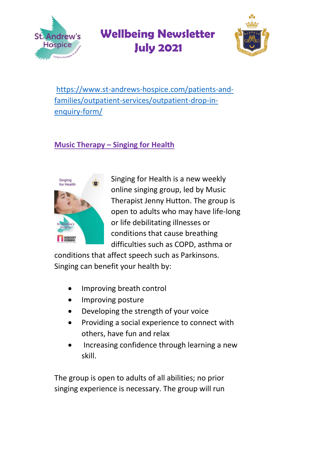



[https://www.st-andrews-hospice.com/patients-and](https://www.st-andrews-hospice.com/patients-and-families/outpatient-services/outpatient-drop-in-enquiry-form/)[families/outpatient-services/outpatient-drop-in](https://www.st-andrews-hospice.com/patients-and-families/outpatient-services/outpatient-drop-in-enquiry-form/)[enquiry-form/](https://www.st-andrews-hospice.com/patients-and-families/outpatient-services/outpatient-drop-in-enquiry-form/)

### **Music Therapy – Singing for Health**



Singing for Health is a new weekly online singing group, led by Music Therapist Jenny Hutton. The group is open to adults who may have life-long or life debilitating illnesses or conditions that cause breathing difficulties such as COPD, asthma or

conditions that affect speech such as Parkinsons. Singing can benefit your health by:

- Improving breath control
- Improving posture
- Developing the strength of your voice
- Providing a social experience to connect with others, have fun and relax
- Increasing confidence through learning a new skill.

The group is open to adults of all abilities; no prior singing experience is necessary. The group will run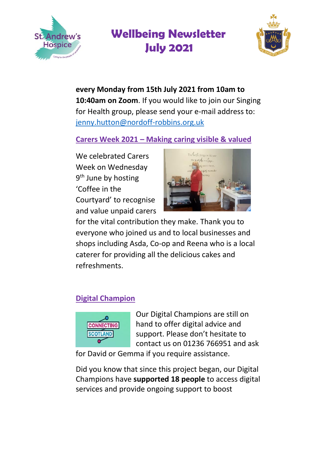



**every Monday from 15th July 2021 from 10am to 10:40am on Zoom**. If you would like to join our Singing for Health group, please send your e-mail address to: [jenny.hutton@nordoff-robbins.org.uk](mailto:jenny.hutton@nordoff-robbins.org.uk)

**Carers Week 2021 – Making caring visible & valued** 

We celebrated Carers Week on Wednesday 9<sup>th</sup> June by hosting 'Coffee in the Courtyard' to recognise and value unpaid carers



for the vital contribution they make. Thank you to everyone who joined us and to local businesses and shops including Asda, Co-op and Reena who is a local caterer for providing all the delicious cakes and refreshments.

### **Digital Champion**



Our Digital Champions are still on hand to offer digital advice and support. Please don't hesitate to contact us on 01236 766951 and ask

for David or Gemma if you require assistance.

Did you know that since this project began, our Digital Champions have **supported 18 people** to access digital services and provide ongoing support to boost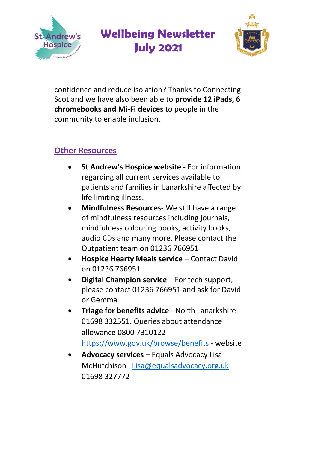

confidence and reduce isolation? Thanks to Connecting Scotland we have also been able to **provide 12 iPads, 6 chromebooks and Mi-Fi devices** to people in the community to enable inclusion.

### **Other Resources**

Andrew's **Hospice** 

- **St Andrew's Hospice website** For information regarding all current services available to patients and families in Lanarkshire affected by life limiting illness.
- **Mindfulness Resources** We still have a range of mindfulness resources including journals, mindfulness colouring books, activity books, audio CDs and many more. Please contact the Outpatient team on 01236 766951
- **Hospice Hearty Meals service** Contact David on 01236 766951
- **Digital Champion service** For tech support, please contact 01236 766951 and ask for David or Gemma
- **Triage for benefits advice** North Lanarkshire 01698 332551. Queries about attendance allowance 0800 7310122 [https://www.gov.uk/browse/benefits](https://www.gov.uk/browse/benefits%203H6seRlkDUz8uKVCGFHo6RM) - website
- **Advocacy services** Equals Advocacy Lisa McHutchison [Lisa@equalsadvocacy.org.uk](mailto:Lisa@equalsadvocacy.org.uk) [01698 327772](https://www.google.com/search?q=equals+advocacy&rlz=1C1CHBD_enGB909GB909&oq=equals+advoc&aqs=chrome.0.35i39i457j46i175i199j69i57j35i39j69i60l3.4629j0j15&sourceid=chrome&ie=UTF-8)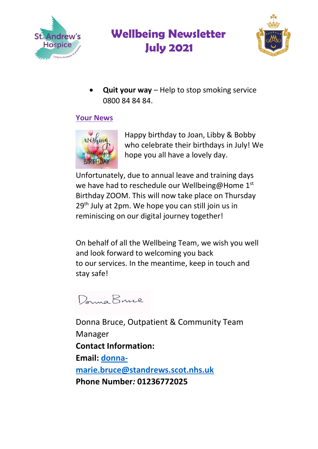



 **Quit your way** – Help to stop smoking service 0800 84 84 84

#### **Your News**



Happy birthday to Joan, Libby & Bobby who celebrate their birthdays in July! We hope you all have a lovely day.

Unfortunately, due to annual leave and training days we have had to reschedule our Wellbeing@Home 1st Birthday ZOOM. This will now take place on Thursday 29<sup>th</sup> July at 2pm. We hope you can still join us in reminiscing on our digital journey together!

On behalf of all the Wellbeing Team, we wish you well and look forward to welcoming you back to our services. In the meantime, keep in touch and stay safe!

Dana Bruce

Donna Bruce, Outpatient & Community Team Manager **Contact Information: Email: [donna](mailto:donna-marie.bruce@standrews.scot.nhs.uk)[marie.bruce@standrews.scot.nhs.uk](mailto:donna-marie.bruce@standrews.scot.nhs.uk) Phone Number***:* **01236772025**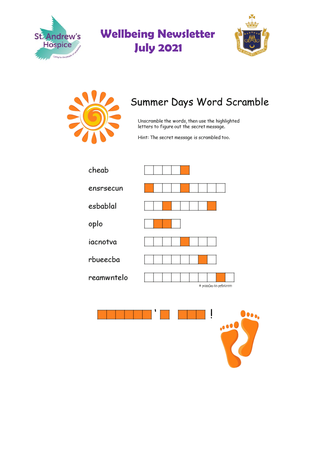





# Summer Days Word Scramble

Unscramble the words, then use the highlighted<br>letters to figure out the secret message.

Hint: The secret message is scrambled too.

| cheab      |                       |
|------------|-----------------------|
| ensrsecun  |                       |
| esbablal   |                       |
| oplo       |                       |
| iacnotva   |                       |
| rbueecba   |                       |
| reamwntelo | @ puzzles-to-printcom |